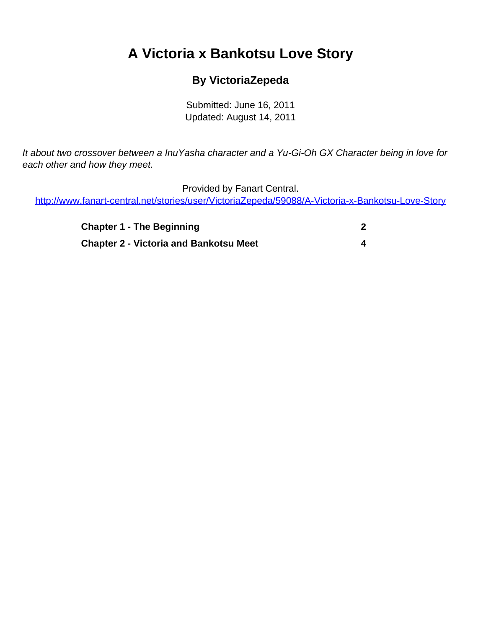# <span id="page-0-0"></span>**A Victoria x Bankotsu Love Story**

### **By VictoriaZepeda**

Submitted: June 16, 2011 Updated: August 14, 2011

It about two crossover between a InuYasha character and a Yu-Gi-Oh GX Character being in love for each other and how they meet.

Provided by Fanart Central.

[http://www.fanart-central.net/stories/user/VictoriaZepeda/59088/A-Victoria-x-Bankotsu-Love-Story](#page-0-0)

| <b>Chapter 1 - The Beginning</b>              |  |
|-----------------------------------------------|--|
| <b>Chapter 2 - Victoria and Bankotsu Meet</b> |  |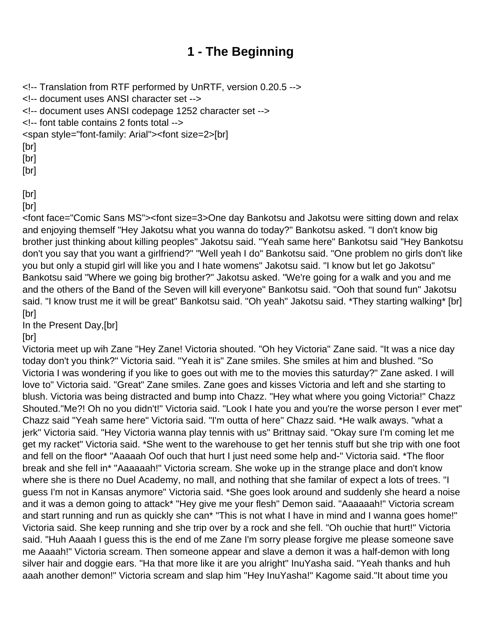## **1 - The Beginning**

<span id="page-1-0"></span><!-- Translation from RTF performed by UnRTF, version 0.20.5 --> <!-- document uses ANSI character set --> <!-- document uses ANSI codepage 1252 character set --> <!-- font table contains 2 fonts total --> <span style="font-family: Arial"><font size=2>[br] [br] [br] [br] [br]

[br]

<font face="Comic Sans MS"><font size=3>One day Bankotsu and Jakotsu were sitting down and relax and enjoying themself "Hey Jakotsu what you wanna do today?" Bankotsu asked. "I don't know big brother just thinking about killing peoples" Jakotsu said. "Yeah same here" Bankotsu said "Hey Bankotsu don't you say that you want a girlfriend?" "Well yeah I do" Bankotsu said. "One problem no girls don't like you but only a stupid girl will like you and I hate womens" Jakotsu said. "I know but let go Jakotsu" Bankotsu said "Where we going big brother?" Jakotsu asked. "We're going for a walk and you and me and the others of the Band of the Seven will kill everyone" Bankotsu said. "Ooh that sound fun" Jakotsu said. "I know trust me it will be great" Bankotsu said. "Oh yeah" Jakotsu said. \*They starting walking\* [br] [br]

In the Present Day,[br]

[br]

Victoria meet up wih Zane "Hey Zane! Victoria shouted. "Oh hey Victoria" Zane said. "It was a nice day today don't you think?" Victoria said. "Yeah it is" Zane smiles. She smiles at him and blushed. "So Victoria I was wondering if you like to goes out with me to the movies this saturday?" Zane asked. I will love to" Victoria said. "Great" Zane smiles. Zane goes and kisses Victoria and left and she starting to blush. Victoria was being distracted and bump into Chazz. "Hey what where you going Victoria!" Chazz Shouted."Me?! Oh no you didn't!" Victoria said. "Look I hate you and you're the worse person I ever met" Chazz said "Yeah same here" Victoria said. "I'm outta of here" Chazz said. \*He walk aways. "what a jerk" Victoria said. "Hey Victoria wanna play tennis with us" Brittnay said. "Okay sure I'm coming let me get my racket" Victoria said. \*She went to the warehouse to get her tennis stuff but she trip with one foot and fell on the floor\* "Aaaaah Oof ouch that hurt I just need some help and-" Victoria said. \*The floor break and she fell in\* "Aaaaaah!" Victoria scream. She woke up in the strange place and don't know where she is there no Duel Academy, no mall, and nothing that she familar of expect a lots of trees. "I guess I'm not in Kansas anymore" Victoria said. \*She goes look around and suddenly she heard a noise and it was a demon going to attack\* "Hey give me your flesh" Demon said. "Aaaaaah!" Victoria scream and start running and run as quickly she can\* "This is not what I have in mind and I wanna goes home!" Victoria said. She keep running and she trip over by a rock and she fell. "Oh ouchie that hurt!" Victoria said. "Huh Aaaah I guess this is the end of me Zane I'm sorry please forgive me please someone save me Aaaah!" Victoria scream. Then someone appear and slave a demon it was a half-demon with long silver hair and doggie ears. "Ha that more like it are you alright" InuYasha said. "Yeah thanks and huh aaah another demon!" Victoria scream and slap him "Hey InuYasha!" Kagome said."It about time you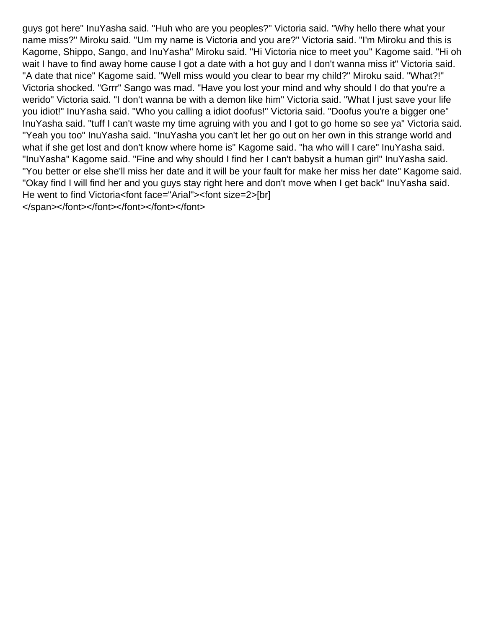guys got here" InuYasha said. "Huh who are you peoples?" Victoria said. "Why hello there what your name miss?" Miroku said. "Um my name is Victoria and you are?" Victoria said. "I'm Miroku and this is Kagome, Shippo, Sango, and InuYasha" Miroku said. "Hi Victoria nice to meet you" Kagome said. "Hi oh wait I have to find away home cause I got a date with a hot guy and I don't wanna miss it" Victoria said. "A date that nice" Kagome said. "Well miss would you clear to bear my child?" Miroku said. "What?!" Victoria shocked. "Grrr" Sango was mad. "Have you lost your mind and why should I do that you're a werido" Victoria said. "I don't wanna be with a demon like him" Victoria said. "What I just save your life you idiot!" InuYasha said. "Who you calling a idiot doofus!" Victoria said. "Doofus you're a bigger one" InuYasha said. "tuff I can't waste my time agruing with you and I got to go home so see ya" Victoria said. "Yeah you too" InuYasha said. "InuYasha you can't let her go out on her own in this strange world and what if she get lost and don't know where home is" Kagome said. "ha who will I care" InuYasha said. "InuYasha" Kagome said. "Fine and why should I find her I can't babysit a human girl" InuYasha said. "You better or else she'll miss her date and it will be your fault for make her miss her date" Kagome said. "Okay find I will find her and you guys stay right here and don't move when I get back" InuYasha said. He went to find Victoria<font face="Arial"><font size=2>[br] </span></font></font></font></font></font>